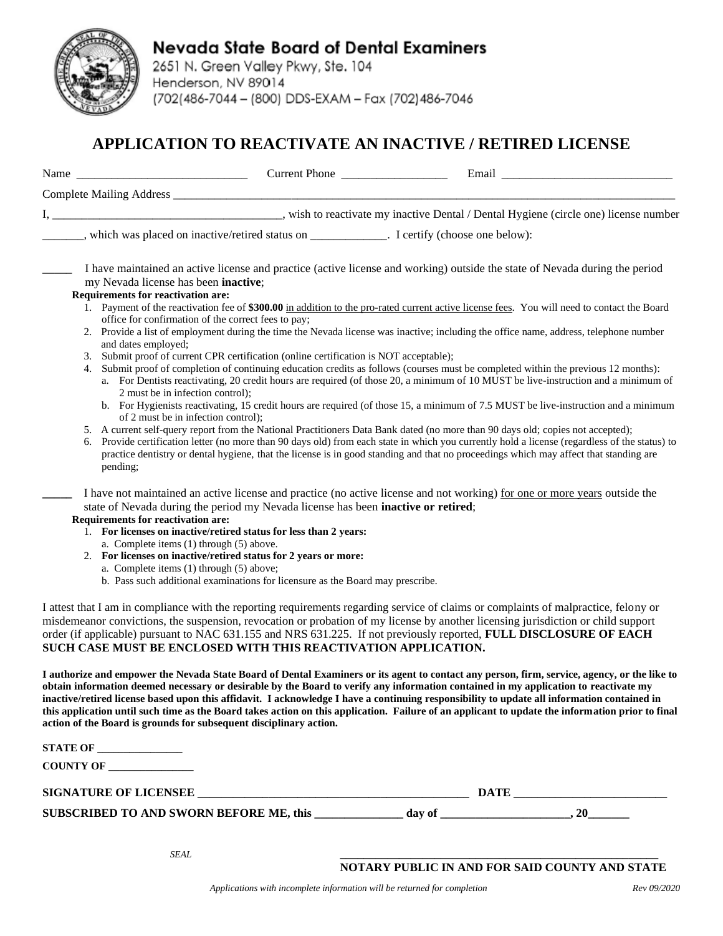

### **Nevada State Board of Dental Examiners**

2651 N. Green Valley Pkwy, Ste. 104 Henderson, NV 89014 (702(486-7044 - (800) DDS-EXAM - Fax (702)486-7046

### **APPLICATION TO REACTIVATE AN INACTIVE / RETIRED LICENSE**

|    | Complete Mailing Address __                                                                                                                                                                                                                                                                                                                                                                                                                                                                                                                                                                                                                                   |
|----|---------------------------------------------------------------------------------------------------------------------------------------------------------------------------------------------------------------------------------------------------------------------------------------------------------------------------------------------------------------------------------------------------------------------------------------------------------------------------------------------------------------------------------------------------------------------------------------------------------------------------------------------------------------|
|    |                                                                                                                                                                                                                                                                                                                                                                                                                                                                                                                                                                                                                                                               |
|    | ______, which was placed on inactive/retired status on ____________. I certify (choose one below):                                                                                                                                                                                                                                                                                                                                                                                                                                                                                                                                                            |
|    | I have maintained an active license and practice (active license and working) outside the state of Nevada during the period<br>my Nevada license has been inactive;                                                                                                                                                                                                                                                                                                                                                                                                                                                                                           |
|    | Requirements for reactivation are:                                                                                                                                                                                                                                                                                                                                                                                                                                                                                                                                                                                                                            |
|    | 1. Payment of the reactivation fee of \$300.00 in addition to the pro-rated current active license fees. You will need to contact the Board<br>office for confirmation of the correct fees to pay;                                                                                                                                                                                                                                                                                                                                                                                                                                                            |
|    | 2. Provide a list of employment during the time the Nevada license was inactive; including the office name, address, telephone number<br>and dates employed;                                                                                                                                                                                                                                                                                                                                                                                                                                                                                                  |
|    | 3. Submit proof of current CPR certification (online certification is NOT acceptable);                                                                                                                                                                                                                                                                                                                                                                                                                                                                                                                                                                        |
| 4. | Submit proof of completion of continuing education credits as follows (courses must be completed within the previous 12 months):<br>a. For Dentists reactivating, 20 credit hours are required (of those 20, a minimum of 10 MUST be live-instruction and a minimum of                                                                                                                                                                                                                                                                                                                                                                                        |
|    | 2 must be in infection control);<br>b. For Hygienists reactivating, 15 credit hours are required (of those 15, a minimum of 7.5 MUST be live-instruction and a minimum<br>of 2 must be in infection control);                                                                                                                                                                                                                                                                                                                                                                                                                                                 |
| 6. | 5. A current self-query report from the National Practitioners Data Bank dated (no more than 90 days old; copies not accepted);<br>Provide certification letter (no more than 90 days old) from each state in which you currently hold a license (regardless of the status) to<br>practice dentistry or dental hygiene, that the license is in good standing and that no proceedings which may affect that standing are<br>pending;                                                                                                                                                                                                                           |
|    | I have not maintained an active license and practice (no active license and not working) for one or more years outside the<br>state of Nevada during the period my Nevada license has been inactive or retired;<br><b>Requirements for reactivation are:</b>                                                                                                                                                                                                                                                                                                                                                                                                  |
|    | 1. For licenses on inactive/retired status for less than 2 years:<br>a. Complete items (1) through (5) above.                                                                                                                                                                                                                                                                                                                                                                                                                                                                                                                                                 |
|    | 2. For licenses on inactive/retired status for 2 years or more:                                                                                                                                                                                                                                                                                                                                                                                                                                                                                                                                                                                               |
|    | a. Complete items (1) through (5) above;<br>b. Pass such additional examinations for licensure as the Board may prescribe.                                                                                                                                                                                                                                                                                                                                                                                                                                                                                                                                    |
|    |                                                                                                                                                                                                                                                                                                                                                                                                                                                                                                                                                                                                                                                               |
|    | I attest that I am in compliance with the reporting requirements regarding service of claims or complaints of malpractice, felony or<br>misdemeanor convictions, the suspension, revocation or probation of my license by another licensing jurisdiction or child support<br>order (if applicable) pursuant to NAC 631.155 and NRS 631.225. If not previously reported, FULL DISCLOSURE OF EACH<br>SUCH CASE MUST BE ENCLOSED WITH THIS REACTIVATION APPLICATION.                                                                                                                                                                                             |
|    | I authorize and empower the Nevada State Board of Dental Examiners or its agent to contact any person, firm, service, agency, or the like to<br>obtain information deemed necessary or desirable by the Board to verify any information contained in my application to reactivate my<br>inactive/retired license based upon this affidavit. I acknowledge I have a continuing responsibility to update all information contained in<br>this application until such time as the Board takes action on this application. Failure of an applicant to update the information prior to final<br>action of the Board is grounds for subsequent disciplinary action. |
|    | STATE OF                                                                                                                                                                                                                                                                                                                                                                                                                                                                                                                                                                                                                                                      |
|    | COUNTY OF                                                                                                                                                                                                                                                                                                                                                                                                                                                                                                                                                                                                                                                     |
|    |                                                                                                                                                                                                                                                                                                                                                                                                                                                                                                                                                                                                                                                               |

#### **NOTARY PUBLIC IN AND FOR SAID COUNTY AND STATE**

SUBSCRIBED TO AND SWORN BEFORE ME, this \_\_\_\_\_\_\_\_\_\_\_\_\_ day of \_\_\_\_\_\_\_\_\_\_\_\_\_\_\_\_\_\_, 20\_\_\_\_\_\_\_\_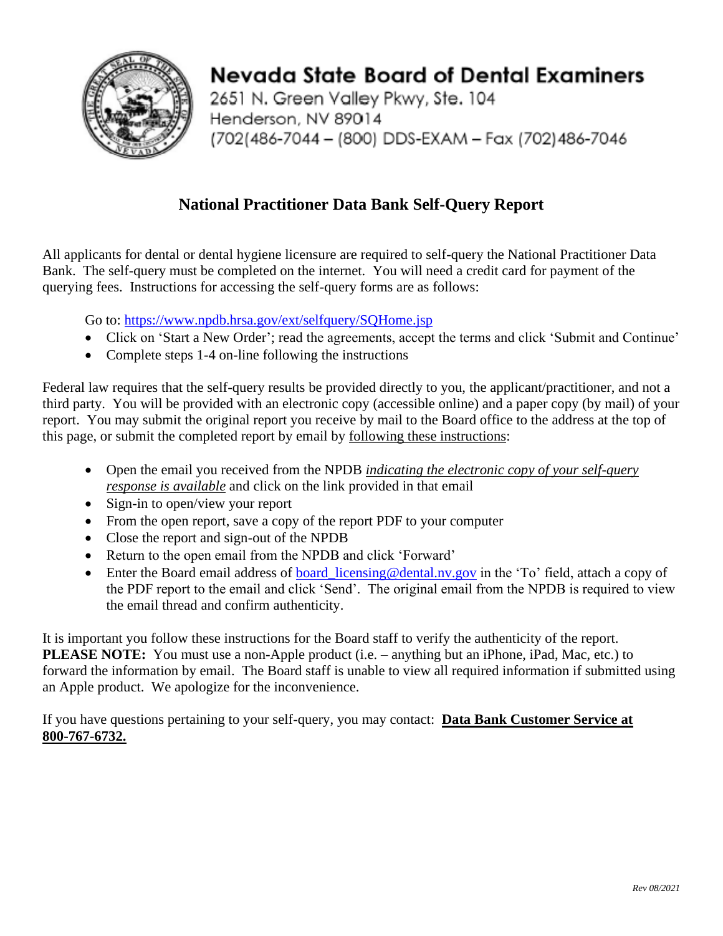

# Nevada State Board of Dental Examiners

2651 N. Green Valley Pkwy, Ste. 104 Henderson, NV 89014 (702(486-7044 - (800) DDS-EXAM - Fax (702)486-7046

### **National Practitioner Data Bank Self-Query Report**

All applicants for dental or dental hygiene licensure are required to self-query the National Practitioner Data Bank. The self-query must be completed on the internet. You will need a credit card for payment of the querying fees. Instructions for accessing the self-query forms are as follows:

Go to:<https://www.npdb.hrsa.gov/ext/selfquery/SQHome.jsp>

- Click on 'Start a New Order'; read the agreements, accept the terms and click 'Submit and Continue'
- Complete steps 1-4 on-line following the instructions

Federal law requires that the self-query results be provided directly to you, the applicant/practitioner, and not a third party. You will be provided with an electronic copy (accessible online) and a paper copy (by mail) of your report. You may submit the original report you receive by mail to the Board office to the address at the top of this page, or submit the completed report by email by following these instructions:

- Open the email you received from the NPDB *indicating the electronic copy of your self-query response is available* and click on the link provided in that email
- Sign-in to open/view your report
- From the open report, save a copy of the report PDF to your computer
- Close the report and sign-out of the NPDB
- Return to the open email from the NPDB and click 'Forward'
- Enter the Board email address of board licensing@dental.nv.gov in the 'To' field, attach a copy of the PDF report to the email and click 'Send'. The original email from the NPDB is required to view the email thread and confirm authenticity.

It is important you follow these instructions for the Board staff to verify the authenticity of the report. **PLEASE NOTE:** You must use a non-Apple product (i.e. – anything but an iPhone, iPad, Mac, etc.) to forward the information by email. The Board staff is unable to view all required information if submitted using an Apple product. We apologize for the inconvenience.

If you have questions pertaining to your self-query, you may contact: **Data Bank Customer Service at 800-767-6732.**